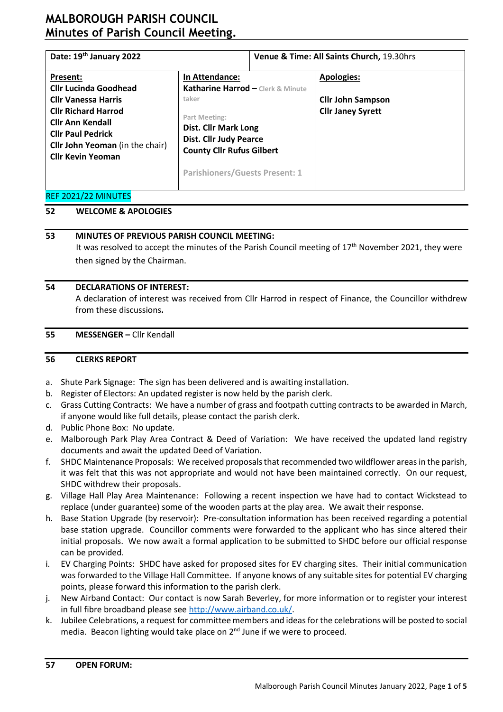# **MALBOROUGH PARISH COUNCIL Minutes of Parish Council Meeting.**

| Date: 19th January 2022                                                                                                                                                               |                                                                                                                                                                     | Venue & Time: All Saints Church, 19.30hrs |                                                      |  |  |
|---------------------------------------------------------------------------------------------------------------------------------------------------------------------------------------|---------------------------------------------------------------------------------------------------------------------------------------------------------------------|-------------------------------------------|------------------------------------------------------|--|--|
| Present:<br><b>Cllr Lucinda Goodhead</b>                                                                                                                                              | In Attendance:<br>Katharine Harrod - Clerk & Minute                                                                                                                 |                                           | <b>Apologies:</b>                                    |  |  |
| <b>Cllr Vanessa Harris</b><br><b>Cllr Richard Harrod</b><br><b>Cllr Ann Kendall</b><br><b>Cllr Paul Pedrick</b><br><b>Cllr John Yeoman</b> (in the chair)<br><b>Cllr Kevin Yeoman</b> | taker<br>Part Meeting:<br><b>Dist. Cllr Mark Long</b><br><b>Dist. Cllr Judy Pearce</b><br><b>County Cllr Rufus Gilbert</b><br><b>Parishioners/Guests Present: 1</b> |                                           | <b>Cllr John Sampson</b><br><b>Cllr Janey Syrett</b> |  |  |

### REF 2021/22 MINUTES

### **52 WELCOME & APOLOGIES**

### **53 MINUTES OF PREVIOUS PARISH COUNCIL MEETING:**

It was resolved to accept the minutes of the Parish Council meeting of 17<sup>th</sup> November 2021, they were then signed by the Chairman.

### **54 DECLARATIONS OF INTEREST:**

A declaration of interest was received from Cllr Harrod in respect of Finance, the Councillor withdrew from these discussions**.**

#### **55 MESSENGER –** Cllr Kendall

#### **56 CLERKS REPORT**

- a. Shute Park Signage: The sign has been delivered and is awaiting installation.
- b. Register of Electors: An updated register is now held by the parish clerk.
- c. Grass Cutting Contracts: We have a number of grass and footpath cutting contracts to be awarded in March, if anyone would like full details, please contact the parish clerk.
- d. Public Phone Box: No update.
- e. Malborough Park Play Area Contract & Deed of Variation: We have received the updated land registry documents and await the updated Deed of Variation.
- f. SHDC Maintenance Proposals: We received proposals that recommended two wildflower areas in the parish, it was felt that this was not appropriate and would not have been maintained correctly. On our request, SHDC withdrew their proposals.
- g. Village Hall Play Area Maintenance: Following a recent inspection we have had to contact Wickstead to replace (under guarantee) some of the wooden parts at the play area. We await their response.
- h. Base Station Upgrade (by reservoir): Pre-consultation information has been received regarding a potential base station upgrade. Councillor comments were forwarded to the applicant who has since altered their initial proposals. We now await a formal application to be submitted to SHDC before our official response can be provided.
- i. EV Charging Points: SHDC have asked for proposed sites for EV charging sites. Their initial communication was forwarded to the Village Hall Committee. If anyone knows of any suitable sites for potential EV charging points, please forward this information to the parish clerk.
- j. New Airband Contact: Our contact is now Sarah Beverley, for more information or to register your interest in full fibre broadband please se[e http://www.airband.co.uk/.](http://www.airband.co.uk/)
- k. Jubilee Celebrations, a request for committee members and ideas for the celebrations will be posted to social media. Beacon lighting would take place on 2<sup>nd</sup> June if we were to proceed.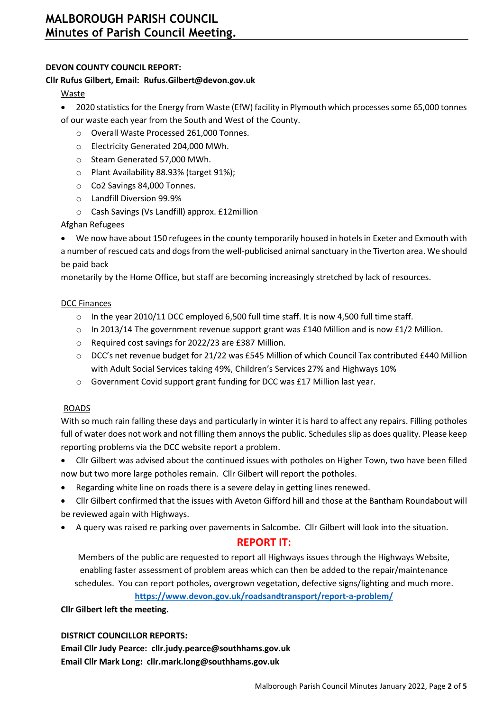### **DEVON COUNTY COUNCIL REPORT:**

#### **Cllr Rufus Gilbert, Email: Rufus.Gilbert@devon.gov.uk**

#### Waste

- 2020 statistics for the Energy from Waste (EfW) facility in Plymouth which processes some 65,000 tonnes of our waste each year from the South and West of the County.
	- o Overall Waste Processed 261,000 Tonnes.
	- o Electricity Generated 204,000 MWh.
	- o Steam Generated 57,000 MWh.
	- o Plant Availability 88.93% (target 91%);
	- o Co2 Savings 84,000 Tonnes.
	- o Landfill Diversion 99.9%
	- o Cash Savings (Vs Landfill) approx. £12million

### Afghan Refugees

• We now have about 150 refugees in the county temporarily housed in hotels in Exeter and Exmouth with a number of rescued cats and dogs from the well-publicised animal sanctuary in the Tiverton area. We should be paid back

monetarily by the Home Office, but staff are becoming increasingly stretched by lack of resources.

### DCC Finances

- $\circ$  In the year 2010/11 DCC employed 6,500 full time staff. It is now 4,500 full time staff.
- $\circ$  In 2013/14 The government revenue support grant was £140 Million and is now £1/2 Million.
- o Required cost savings for 2022/23 are £387 Million.
- o DCC's net revenue budget for 21/22 was £545 Million of which Council Tax contributed £440 Million with Adult Social Services taking 49%, Children's Services 27% and Highways 10%
- $\circ$  Government Covid support grant funding for DCC was £17 Million last year.

### ROADS

With so much rain falling these days and particularly in winter it is hard to affect any repairs. Filling potholes full of water does not work and not filling them annoys the public. Schedules slip as does quality. Please keep reporting problems via the DCC website report a problem.

- Cllr Gilbert was advised about the continued issues with potholes on Higher Town, two have been filled now but two more large potholes remain. Cllr Gilbert will report the potholes.
- Regarding white line on roads there is a severe delay in getting lines renewed.
- Cllr Gilbert confirmed that the issues with Aveton Gifford hill and those at the Bantham Roundabout will be reviewed again with Highways.
- A query was raised re parking over pavements in Salcombe. Cllr Gilbert will look into the situation.

### **REPORT IT:**

Members of the public are requested to report all Highways issues through the Highways Website, enabling faster assessment of problem areas which can then be added to the repair/maintenance schedules. You can report potholes, overgrown vegetation, defective signs/lighting and much more.

**<https://www.devon.gov.uk/roadsandtransport/report-a-problem/>**

### **Cllr Gilbert left the meeting.**

### **DISTRICT COUNCILLOR REPORTS:**

**Email Cllr Judy Pearce: [cllr.judy.pearce@southhams.gov.uk](file:///C:/Users/katha/Downloads/cllr.judy.pearce@southhams.gov.uk) Email Cllr Mark Long: [cllr.mark.long@southhams.gov.uk](mailto:cllr.mark.long@southhams.gov.uk)**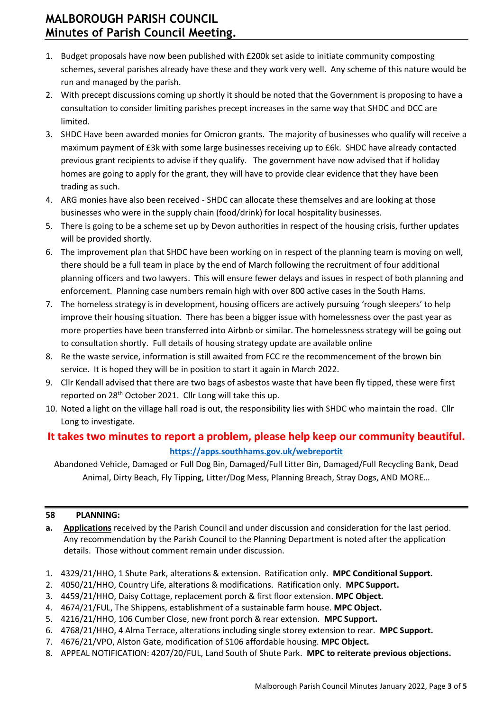- 1. Budget proposals have now been published with £200k set aside to initiate community composting schemes, several parishes already have these and they work very well. Any scheme of this nature would be run and managed by the parish.
- 2. With precept discussions coming up shortly it should be noted that the Government is proposing to have a consultation to consider limiting parishes precept increases in the same way that SHDC and DCC are limited.
- 3. SHDC Have been awarded monies for Omicron grants. The majority of businesses who qualify will receive a maximum payment of £3k with some large businesses receiving up to £6k. SHDC have already contacted previous grant recipients to advise if they qualify. The government have now advised that if holiday homes are going to apply for the grant, they will have to provide clear evidence that they have been trading as such.
- 4. ARG monies have also been received SHDC can allocate these themselves and are looking at those businesses who were in the supply chain (food/drink) for local hospitality businesses.
- 5. There is going to be a scheme set up by Devon authorities in respect of the housing crisis, further updates will be provided shortly.
- 6. The improvement plan that SHDC have been working on in respect of the planning team is moving on well, there should be a full team in place by the end of March following the recruitment of four additional planning officers and two lawyers. This will ensure fewer delays and issues in respect of both planning and enforcement. Planning case numbers remain high with over 800 active cases in the South Hams.
- 7. The homeless strategy is in development, housing officers are actively pursuing 'rough sleepers' to help improve their housing situation. There has been a bigger issue with homelessness over the past year as more properties have been transferred into Airbnb or similar. The homelessness strategy will be going out to consultation shortly. Full details of housing strategy update are available online
- 8. Re the waste service, information is still awaited from FCC re the recommencement of the brown bin service. It is hoped they will be in position to start it again in March 2022.
- 9. Cllr Kendall advised that there are two bags of asbestos waste that have been fly tipped, these were first reported on 28<sup>th</sup> October 2021. Cllr Long will take this up.
- 10. Noted a light on the village hall road is out, the responsibility lies with SHDC who maintain the road. Cllr Long to investigate.

## **It takes two minutes to report a problem, please help keep our community beautiful. <https://apps.southhams.gov.uk/webreportit>**

Abandoned Vehicle, Damaged or Full Dog Bin, Damaged/Full Litter Bin, Damaged/Full Recycling Bank, Dead Animal, Dirty Beach, Fly Tipping, Litter/Dog Mess, Planning Breach, Stray Dogs, AND MORE…

### **58 PLANNING:**

- **a. Applications** received by the Parish Council and under discussion and consideration for the last period. Any recommendation by the Parish Council to the Planning Department is noted after the application details. Those without comment remain under discussion.
- 1. 4329/21/HHO, 1 Shute Park, alterations & extension. Ratification only. **MPC Conditional Support.**
- 2. 4050/21/HHO, Country Life, alterations & modifications. Ratification only. **MPC Support.**
- 3. 4459/21/HHO, Daisy Cottage, replacement porch & first floor extension. **MPC Object.**
- 4. 4674/21/FUL, The Shippens, establishment of a sustainable farm house. **MPC Object.**
- 5. 4216/21/HHO, 106 Cumber Close, new front porch & rear extension. **MPC Support.**
- 6. 4768/21/HHO, 4 Alma Terrace, alterations including single storey extension to rear. **MPC Support.**
- 7. 4676/21/VPO, Alston Gate, modification of S106 affordable housing. **MPC Object.**
- 8. APPEAL NOTIFICATION: 4207/20/FUL, Land South of Shute Park. **MPC to reiterate previous objections.**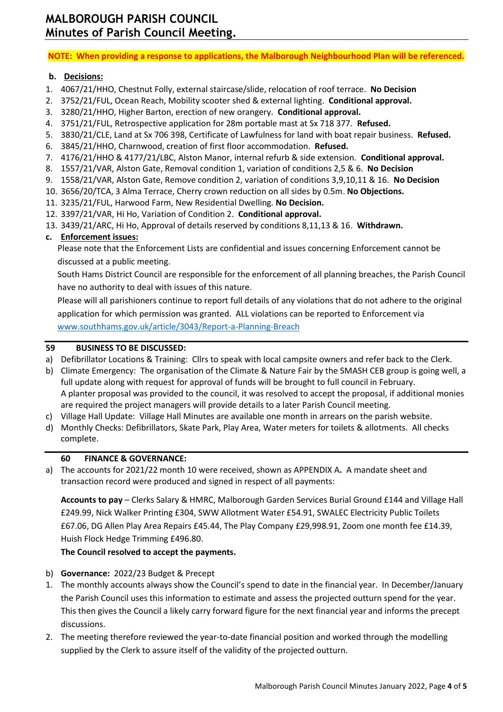**NOTE: When providing a response to applications, the Malborough Neighbourhood Plan will be referenced.**

#### **b. Decisions:**

- 1. 4067/21/HHO, Chestnut Folly, external staircase/slide, relocation of roof terrace. **No Decision**
- 2. 3752/21/FUL, Ocean Reach, Mobility scooter shed & external lighting. **Conditional approval.**
- 3. 3280/21/HHO, Higher Barton, erection of new orangery. **Conditional approval.**
- 4. 3751/21/FUL, Retrospective application for 28m portable mast at Sx 718 377. **Refused.**
- 5. 3830/21/CLE, Land at Sx 706 398, Certificate of Lawfulness for land with boat repair business. **Refused.**
- 6. 3845/21/HHO, Charnwood, creation of first floor accommodation. **Refused.**
- 7. 4176/21/HHO & 4177/21/LBC, Alston Manor, internal refurb & side extension. **Conditional approval.**
- 8. 1557/21/VAR, Alston Gate, Removal condition 1, variation of conditions 2,5 & 6. **No Decision**
- 9. 1558/21/VAR, Alston Gate, Remove condition 2, variation of conditions 3,9,10,11 & 16. **No Decision**
- 10. 3656/20/TCA, 3 Alma Terrace, Cherry crown reduction on all sides by 0.5m. **No Objections.**
- 11. 3235/21/FUL, Harwood Farm, New Residential Dwelling. **No Decision.**
- 12. 3397/21/VAR, Hi Ho, Variation of Condition 2. **Conditional approval.**
- 13. 3439/21/ARC, Hi Ho, Approval of details reserved by conditions 8,11,13 & 16. **Withdrawn.**

### **c. Enforcement issues:**

Please note that the Enforcement Lists are confidential and issues concerning Enforcement cannot be discussed at a public meeting.

South Hams District Council are responsible for the enforcement of all planning breaches, the Parish Council have no authority to deal with issues of this nature.

Please will all parishioners continue to report full details of any violations that do not adhere to the original application for which permission was granted. ALL violations can be reported to Enforcement via [www.southhams.gov.uk/article/3043/Report-a-Planning-Breach](http://www.southhams.gov.uk/article/3043/Report-a-Planning-Breach)

### **59 BUSINESS TO BE DISCUSSED:**

- a) Defibrillator Locations & Training: Cllrs to speak with local campsite owners and refer back to the Clerk.
- b) Climate Emergency: The organisation of the Climate & Nature Fair by the SMASH CEB group is going well, a full update along with request for approval of funds will be brought to full council in February. A planter proposal was provided to the council, it was resolved to accept the proposal, if additional monies are required the project managers will provide details to a later Parish Council meeting.
- c) Village Hall Update: Village Hall Minutes are available one month in arrears on the parish website.
- d) Monthly Checks: Defibrillators, Skate Park, Play Area, Water meters for toilets & allotments. All checks complete.

#### **60 FINANCE & GOVERNANCE:**

a) The accounts for 2021/22 month 10 were received, shown as APPENDIX A**.** A mandate sheet and transaction record were produced and signed in respect of all payments:

**Accounts to pay** – Clerks Salary & HMRC, Malborough Garden Services Burial Ground £144 and Village Hall £249.99, Nick Walker Printing £304, SWW Allotment Water £54.91, SWALEC Electricity Public Toilets £67.06, DG Allen Play Area Repairs £45.44, The Play Company £29,998.91, Zoom one month fee £14.39, Huish Flock Hedge Trimming £496.80.

### **The Council resolved to accept the payments.**

- b) **Governance:** 2022/23 Budget & Precept
- 1. The monthly accounts always show the Council's spend to date in the financial year. In December/January the Parish Council uses this information to estimate and assess the projected outturn spend for the year. This then gives the Council a likely carry forward figure for the next financial year and informs the precept discussions.
- 2. The meeting therefore reviewed the year-to-date financial position and worked through the modelling supplied by the Clerk to assure itself of the validity of the projected outturn.